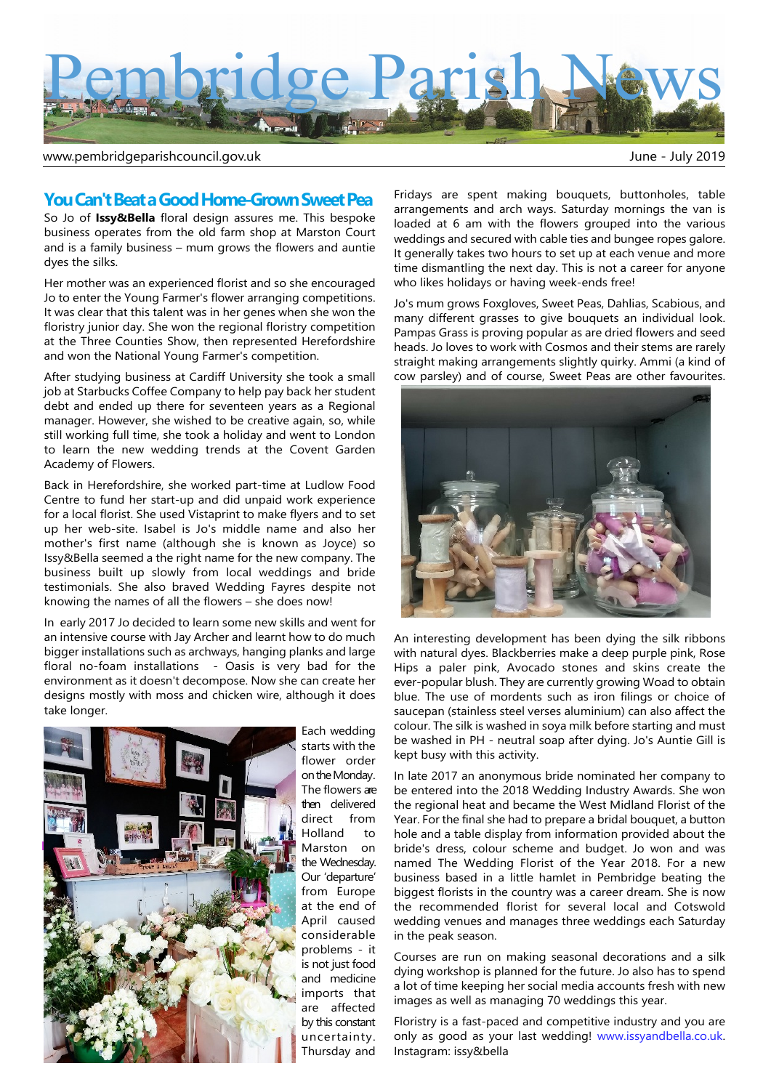

www.pembridgeparishcouncil.gov.uk and the state of the state of the state of the state of the state of the state of the state of the state of the state of the state of the state of the state of the state of the state of th

## **You Can't Beat a Good Home-Grown Sweet Pea**

So Jo of **Issy&Bella** floral design assures me. This bespoke business operates from the old farm shop at Marston Court and is a family business – mum grows the flowers and auntie dyes the silks.

Her mother was an experienced florist and so she encouraged Jo to enter the Young Farmer's flower arranging competitions. It was clear that this talent was in her genes when she won the floristry junior day. She won the regional floristry competition at the Three Counties Show, then represented Herefordshire and won the National Young Farmer's competition.

After studying business at Cardiff University she took a small job at Starbucks Coffee Company to help pay back her student debt and ended up there for seventeen years as a Regional manager. However, she wished to be creative again, so, while still working full time, she took a holiday and went to London to learn the new wedding trends at the Covent Garden Academy of Flowers.

Back in Herefordshire, she worked part-time at Ludlow Food Centre to fund her start-up and did unpaid work experience for a local florist. She used Vistaprint to make flyers and to set up her web-site. Isabel is Jo's middle name and also her mother's first name (although she is known as Joyce) so Issy&Bella seemed a the right name for the new company. The business built up slowly from local weddings and bride testimonials. She also braved Wedding Fayres despite not knowing the names of all the flowers – she does now!

In early 2017 Jo decided to learn some new skills and went for an intensive course with Jay Archer and learnt how to do much bigger installations such as archways, hanging planks and large floral no-foam installations - Oasis is very bad for the environment as it doesn't decompose. Now she can create her designs mostly with moss and chicken wire, although it does take longer.



Each wedding starts with the flower order on the Monday. The flowers are then delivered direct from Holland to Marston on the Wednesday. Our 'departure' from Europe at the end of April caused considerable problems - it is not just food and medicine imports that are affected by this constant uncertainty. Thursday and

Fridays are spent making bouquets, buttonholes, table arrangements and arch ways. Saturday mornings the van is loaded at 6 am with the flowers grouped into the various weddings and secured with cable ties and bungee ropes galore. It generally takes two hours to set up at each venue and more time dismantling the next day. This is not a career for anyone who likes holidays or having week-ends free!

Jo's mum grows Foxgloves, Sweet Peas, Dahlias, Scabious, and many different grasses to give bouquets an individual look. Pampas Grass is proving popular as are dried flowers and seed heads. Jo loves to work with Cosmos and their stems are rarely straight making arrangements slightly quirky. Ammi (a kind of cow parsley) and of course, Sweet Peas are other favourites.



An interesting development has been dying the silk ribbons with natural dyes. Blackberries make a deep purple pink, Rose Hips a paler pink, Avocado stones and skins create the ever-popular blush. They are currently growing Woad to obtain blue. The use of mordents such as iron filings or choice of saucepan (stainless steel verses aluminium) can also affect the colour. The silk is washed in soya milk before starting and must be washed in PH - neutral soap after dying. Jo's Auntie Gill is kept busy with this activity.

In late 2017 an anonymous bride nominated her company to be entered into the 2018 Wedding Industry Awards. She won the regional heat and became the West Midland Florist of the Year. For the final she had to prepare a bridal bouquet, a button hole and a table display from information provided about the bride's dress, colour scheme and budget. Jo won and was named The Wedding Florist of the Year 2018. For a new business based in a little hamlet in Pembridge beating the biggest florists in the country was a career dream. She is now the recommended florist for several local and Cotswold wedding venues and manages three weddings each Saturday in the peak season.

Courses are run on making seasonal decorations and a silk dying workshop is planned for the future. Jo also has to spend a lot of time keeping her social media accounts fresh with new images as well as managing 70 weddings this year.

Floristry is a fast-paced and competitive industry and you are only as good as your last wedding! www.issyandbella.co.uk. Instagram: issy&bella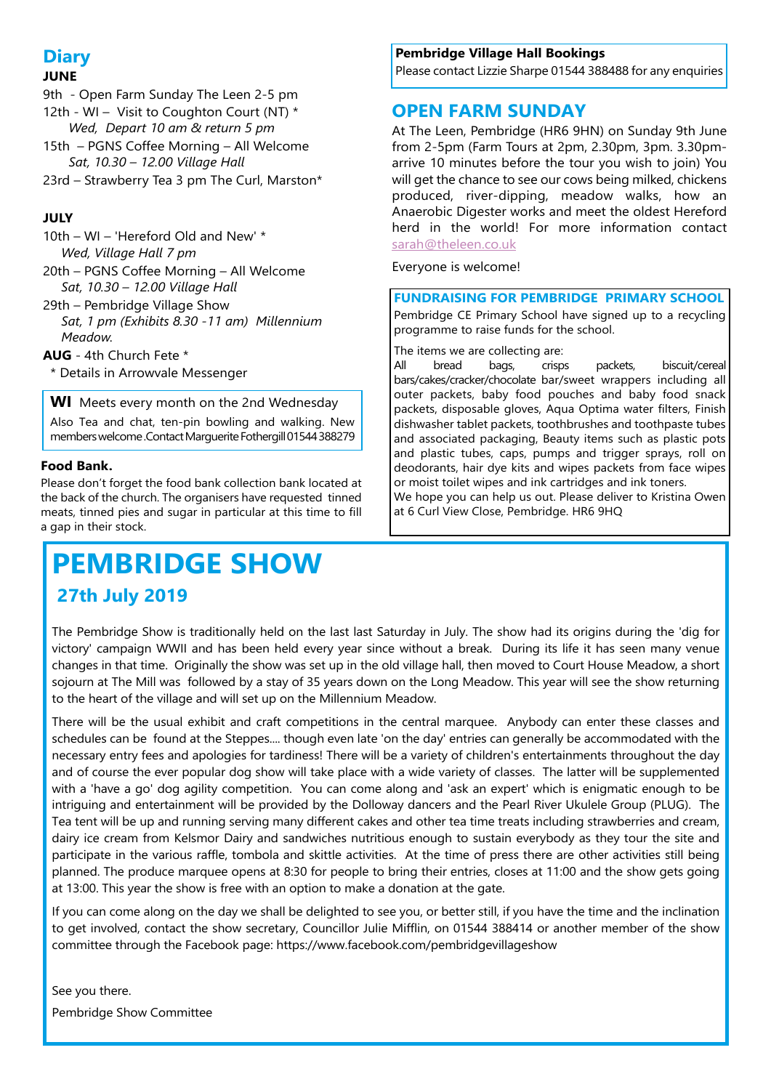# **Diary**

## **JUNE**

- 9th Open Farm Sunday The Leen 2-5 pm
- 12th WI Visit to Coughton Court (NT)  $*$
- *Wed, Depart 10 am & return 5 pm* 15th – PGNS Coffee Morning – All Welcome  *Sat, 10.30 – 12.00 Village Hall*
- 23rd Strawberry Tea 3 pm The Curl, Marston\*

# **JULY**

- 10th WI 'Hereford Old and New' \* *Wed, Village Hall 7 pm*
- 20th PGNS Coffee Morning All Welcome *Sat, 10.30 – 12.00 Village Hall*
- 29th Pembridge Village Show *Sat, 1 pm (Exhibits 8.30 -11 am) Millennium Meadow.*
- **AUG** 4th Church Fete \*
- \* Details in Arrowvale Messenger

**WI** Meets every month on the 2nd Wednesday Also Tea and chat, ten-pin bowling and walking. New members welcome .Contact Marguerite Fothergill 01544 388279

## **Food Bank.**

Please don't forget the food bank collection bank located at the back of the church. The organisers have requested tinned meats, tinned pies and sugar in particular at this time to fill a gap in their stock.

# **PEMBRIDGE SHOW 27th July 2019**

## **Pembridge Village Hall Bookings**

Please contact Lizzie Sharpe 01544 388488 for any enquiries

# **OPEN FARM SUNDAY**

At The Leen, Pembridge (HR6 9HN) on Sunday 9th June from 2-5pm (Farm Tours at 2pm, 2.30pm, 3pm. 3.30pmarrive 10 minutes before the tour you wish to join) You will get the chance to see our cows being milked, chickens produced, river-dipping, meadow walks, how an Anaerobic Digester works and meet the oldest Hereford herd in the world! For more information contac[t](mailto:sarah@theleen.co.uk) [sarah@theleen.co.uk](mailto:sarah@theleen.co.uk)

Everyone is welcome!

## **FUNDRAISING FOR PEMBRIDGE PRIMARY SCHOOL**

Pembridge CE Primary School have signed up to a recycling programme to raise funds for the school.

The items we are collecting are:

All bread bags, crisps packets, biscuit/cereal bars/cakes/cracker/chocolate bar/sweet wrappers including all outer packets, baby food pouches and baby food snack packets, disposable gloves, Aqua Optima water filters, Finish dishwasher tablet packets, toothbrushes and toothpaste tubes and associated packaging, Beauty items such as plastic pots and plastic tubes, caps, pumps and trigger sprays, roll on deodorants, hair dye kits and wipes packets from face wipes or moist toilet wipes and ink cartridges and ink toners.

We hope you can help us out. Please deliver to Kristina Owen at 6 Curl View Close, Pembridge. HR6 9HQ

The Pembridge Show is traditionally held on the last last Saturday in July. The show had its origins during the 'dig for victory' campaign WWII and has been held every year since without a break. During its life it has seen many venue changes in that time. Originally the show was set up in the old village hall, then moved to Court House Meadow, a short sojourn at The Mill was followed by a stay of 35 years down on the Long Meadow. This year will see the show returning to the heart of the village and will set up on the Millennium Meadow.

There will be the usual exhibit and craft competitions in the central marquee. Anybody can enter these classes and schedules can be found at the Steppes.... though even late 'on the day' entries can generally be accommodated with the necessary entry fees and apologies for tardiness! There will be a variety of children's entertainments throughout the day and of course the ever popular dog show will take place with a wide variety of classes. The latter will be supplemented with a 'have a go' dog agility competition. You can come along and 'ask an expert' which is enigmatic enough to be intriguing and entertainment will be provided by the Dolloway dancers and the Pearl River Ukulele Group (PLUG). The Tea tent will be up and running serving many different cakes and other tea time treats including strawberries and cream, dairy ice cream from Kelsmor Dairy and sandwiches nutritious enough to sustain everybody as they tour the site and participate in the various raffle, tombola and skittle activities. At the time of press there are other activities still being planned. The produce marquee opens at 8:30 for people to bring their entries, closes at 11:00 and the show gets going at 13:00. This year the show is free with an option to make a donation at the gate.

If you can come along on the day we shall be delighted to see you, or better still, if you have the time and the inclination to get involved, contact the show secretary, Councillor Julie Mifflin, on 01544 388414 or another member of the show committee through the Facebook page: https://www.facebook.com/pembridgevillageshow

See you there. Pembridge Show Committee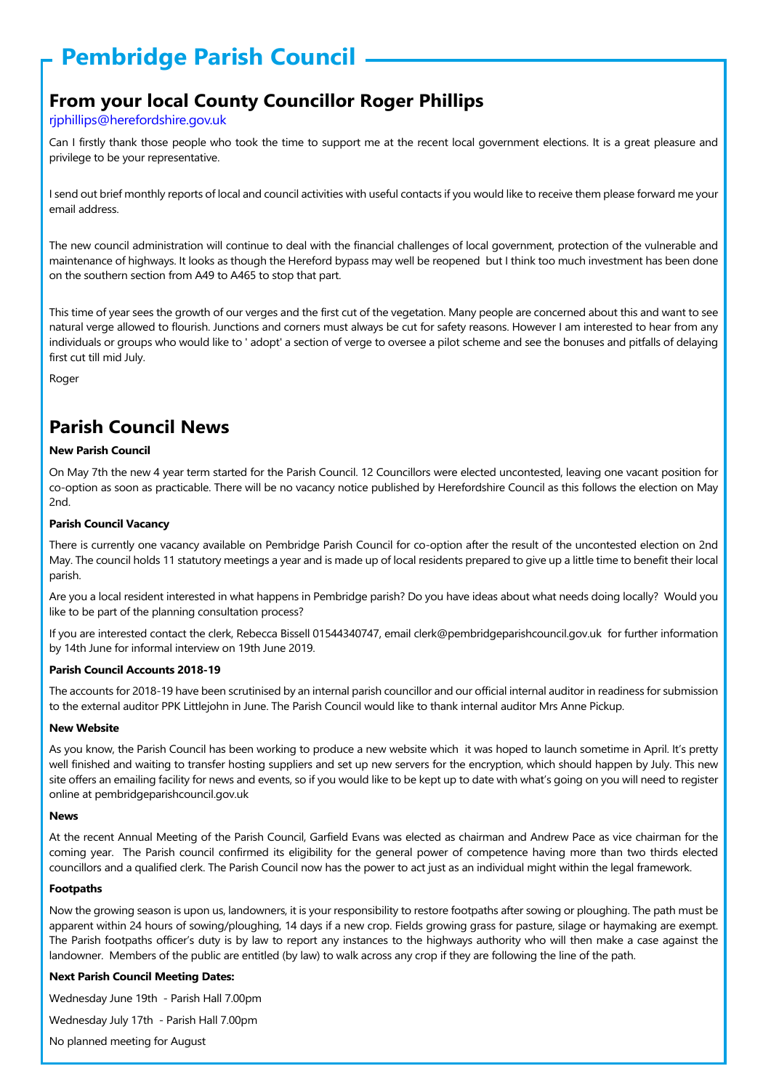# **Pembridge Parish Council**

# **From your local County Councillor Roger Phillips**

### rjphillips@herefordshire.gov.uk

Can I firstly thank those people who took the time to support me at the recent local government elections. It is a great pleasure and privilege to be your representative.

I send out brief monthly reports of local and council activities with useful contacts if you would like to receive them please forward me your email address.

The new council administration will continue to deal with the financial challenges of local government, protection of the vulnerable and maintenance of highways. It looks as though the Hereford bypass may well be reopened but I think too much investment has been done on the southern section from A49 to A465 to stop that part.

This time of year sees the growth of our verges and the first cut of the vegetation. Many people are concerned about this and want to see natural verge allowed to flourish. Junctions and corners must always be cut for safety reasons. However I am interested to hear from any individuals or groups who would like to ' adopt' a section of verge to oversee a pilot scheme and see the bonuses and pitfalls of delaying first cut till mid July.

Roger

# **Parish Council News**

#### **New Parish Council**

On May 7th the new 4 year term started for the Parish Council. 12 Councillors were elected uncontested, leaving one vacant position for co-option as soon as practicable. There will be no vacancy notice published by Herefordshire Council as this follows the election on May 2nd.

#### **Parish Council Vacancy**

There is currently one vacancy available on Pembridge Parish Council for co-option after the result of the uncontested election on 2nd May. The council holds 11 statutory meetings a year and is made up of local residents prepared to give up a little time to benefit their local parish.

Are you a local resident interested in what happens in Pembridge parish? Do you have ideas about what needs doing locally? Would you like to be part of the planning consultation process?

If you are interested contact the clerk, Rebecca Bissell 01544340747, email clerk@pembridgeparishcouncil.gov.uk for further information by 14th June for informal interview on 19th June 2019.

#### **Parish Council Accounts 2018-19**

The accounts for 2018-19 have been scrutinised by an internal parish councillor and our official internal auditor in readiness for submission to the external auditor PPK Littlejohn in June. The Parish Council would like to thank internal auditor Mrs Anne Pickup.

#### **New Website**

As you know, the Parish Council has been working to produce a new website which it was hoped to launch sometime in April. It's pretty well finished and waiting to transfer hosting suppliers and set up new servers for the encryption, which should happen by July. This new site offers an emailing facility for news and events, so if you would like to be kept up to date with what's going on you will need to register online at pembridgeparishcouncil.gov.uk

#### **News**

At the recent Annual Meeting of the Parish Council, Garfield Evans was elected as chairman and Andrew Pace as vice chairman for the coming year. The Parish council confirmed its eligibility for the general power of competence having more than two thirds elected councillors and a qualified clerk. The Parish Council now has the power to act just as an individual might within the legal framework.

#### **Footpaths**

Now the growing season is upon us, landowners, it is your responsibility to restore footpaths after sowing or ploughing. The path must be apparent within 24 hours of sowing/ploughing, 14 days if a new crop. Fields growing grass for pasture, silage or haymaking are exempt. The Parish footpaths officer's duty is by law to report any instances to the highways authority who will then make a case against the landowner. Members of the public are entitled (by law) to walk across any crop if they are following the line of the path.

#### **Next Parish Council Meeting Dates:**

Wednesday June 19th - Parish Hall 7.00pm

Wednesday July 17th - Parish Hall 7.00pm

No planned meeting for August